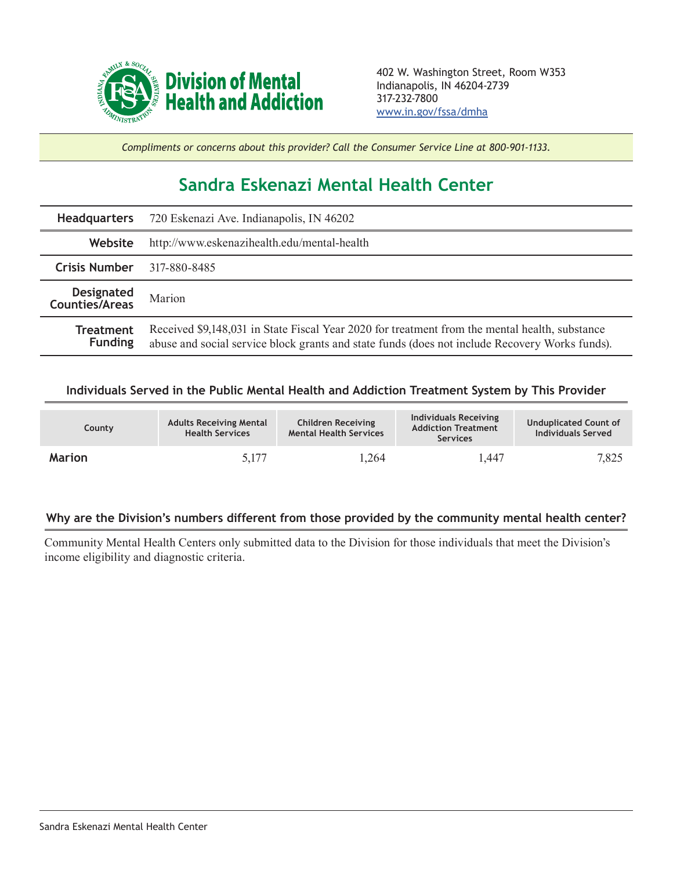

*Compliments or concerns about this provider? Call the Consumer Service Line at 800-901-1133.*

## **Sandra Eskenazi Mental Health Center**

|                              | <b>Headquarters</b> 720 Eskenazi Ave. Indianapolis, IN 46202                                                                                                                                     |  |  |  |
|------------------------------|--------------------------------------------------------------------------------------------------------------------------------------------------------------------------------------------------|--|--|--|
| Website                      | http://www.eskenazihealth.edu/mental-health                                                                                                                                                      |  |  |  |
| <b>Crisis Number</b>         | 317-880-8485                                                                                                                                                                                     |  |  |  |
| Designated<br>Counties/Areas | Marion                                                                                                                                                                                           |  |  |  |
| Treatment<br><b>Funding</b>  | Received \$9,148,031 in State Fiscal Year 2020 for treatment from the mental health, substance<br>abuse and social service block grants and state funds (does not include Recovery Works funds). |  |  |  |

## **Individuals Served in the Public Mental Health and Addiction Treatment System by This Provider**

| County        | <b>Adults Receiving Mental</b><br><b>Health Services</b> | <b>Children Receiving</b><br><b>Mental Health Services</b> | Individuals Receiving<br><b>Addiction Treatment</b><br><b>Services</b> | <b>Unduplicated Count of</b><br>Individuals Served |
|---------------|----------------------------------------------------------|------------------------------------------------------------|------------------------------------------------------------------------|----------------------------------------------------|
| <b>Marion</b> | 5.177                                                    | 1,264                                                      | .447                                                                   | 7,825                                              |

## **Why are the Division's numbers different from those provided by the community mental health center?**

Community Mental Health Centers only submitted data to the Division for those individuals that meet the Division's income eligibility and diagnostic criteria.